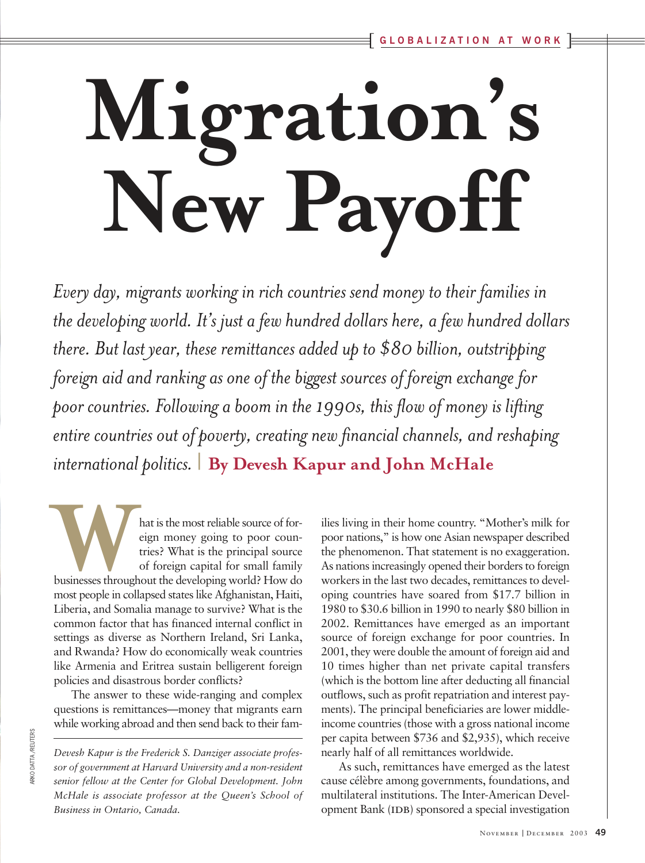# **Migration's New Payoff**

*Every day, migrants working in rich countries send money to their families in the developing world. It's just a few hundred dollars here, a few hundred dollars there. But last year, these remittances added up to \$80 billion, outstripping foreign aid and ranking as one of the biggest sources of foreign exchange for poor countries. Following a boom in the 1990s, this flow of money is lifting entire countries out of poverty, creating new financial channels, and reshaping international politics.* | **By Devesh Kapur and John McHale**

hat is the most reliable source of for-<br>eign money going to poor coun-<br>tries? What is the principal source<br>of foreign capital for small family<br>businesses throughout the developing world? How do<br>in collapsed states like Afg eign money going to poor countries? What is the principal source of foreign capital for small family businesses throughout the developing world? How do most people in collapsed states like Afghanistan, Haiti, Liberia, and Somalia manage to survive? What is the common factor that has financed internal conflict in settings as diverse as Northern Ireland, Sri Lanka, and Rwanda? How do economically weak countries like Armenia and Eritrea sustain belligerent foreign policies and disastrous border conflicts?

The answer to these wide-ranging and complex questions is remittances—money that migrants earn while working abroad and then send back to their fam-

*Devesh Kapur is the Frederick S. Danziger associate professor of government at Harvard University and a non-resident senior fellow at the Center for Global Development. John McHale is associate professor at the Queen's School of Business in Ontario, Canada.*

ilies living in their home country. "Mother's milk for poor nations," is how one Asian newspaper described the phenomenon. That statement is no exaggeration. As nations increasingly opened their borders to foreign workers in the last two decades, remittances to developing countries have soared from \$17.7 billion in 1980 to \$30.6 billion in 1990 to nearly \$80 billion in 2002. Remittances have emerged as an important source of foreign exchange for poor countries. In 2001, they were double the amount of foreign aid and 10 times higher than net private capital transfers (which is the bottom line after deducting all financial outflows, such as profit repatriation and interest payments). The principal beneficiaries are lower middleincome countries (those with a gross national income per capita between \$736 and \$2,935), which receive nearly half of all remittances worldwide.

As such, remittances have emerged as the latest cause célèbre among governments, foundations, and multilateral institutions. The Inter-American Development Bank (IDB) sponsored a special investigation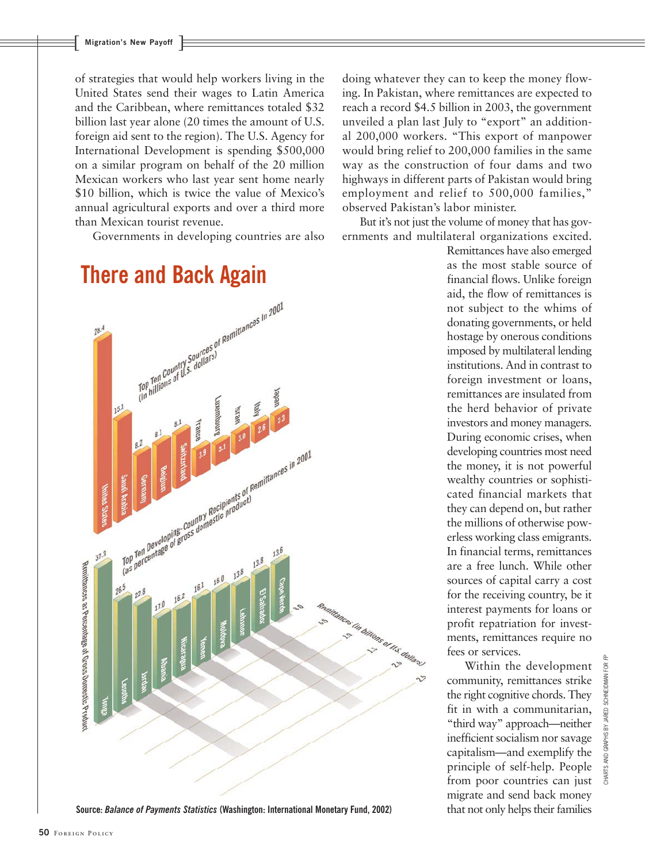of strategies that would help workers living in the United States send their wages to Latin America and the Caribbean, where remittances totaled \$32 billion last year alone (20 times the amount of U.S. foreign aid sent to the region). The U.S. Agency for International Development is spending \$500,000 on [a similar program](http://usinfo.state.gov/regional/ar/mexico/02093002.htm) on behalf of the 20 million Mexican workers who last year sent home nearly \$10 billion, which is twice the value of Mexico's annual agricultural exports and over a third more than Mexican tourist revenue.

Governments in developing countries are also

doing whatever they can to keep the money flowing. In Pakistan, where remittances are expected to reach a record \$4.5 billion in 2003, the government unveiled a plan last July to "export" an additional 200,000 workers. "This export of manpower would bring relief to 200,000 families in the same way as the construction of four dams and two highways in different parts of Pakistan would bring employment and relief to 500,000 families," observed Pakistan's labor minister.

But it's not just the volume of money that has governments and multilateral organizations excited.

fees or services.

Within the development community, remittances strike the right cognitive chords. They fit in with a communitarian, "third way" approach—neither inefficient socialism nor savage capitalism—and exemplify the principle of self-help. People from poor countries can just migrate and send back money that not only helps their families

Remittances have also emerged as the most stable source of financial flows. Unlike foreign aid, the flow of remittances is not subject to the whims of donating governments, or held hostage by onerous conditions imposed by multilateral lending institutions. And in contrast to foreign investment or loans, remittances are insulated from the herd behavior of private investors and money managers. During economic crises, when developing countries most need the money, it is not powerful wealthy countries or sophisticated financial markets that they can depend on, but rather the millions of otherwise powerless working class emigrants. In financial terms, remittances are a free lunch. While other sources of capital carry a cost for the receiving country, be it interest payments for loans or profit repatriation for investments, remittances require no



**Source:** *[Balance of Payments Statistics](http://www.imf.org/external/bopage/nlindex.htm)* **(Washington: International Monetary Fund, 2002)**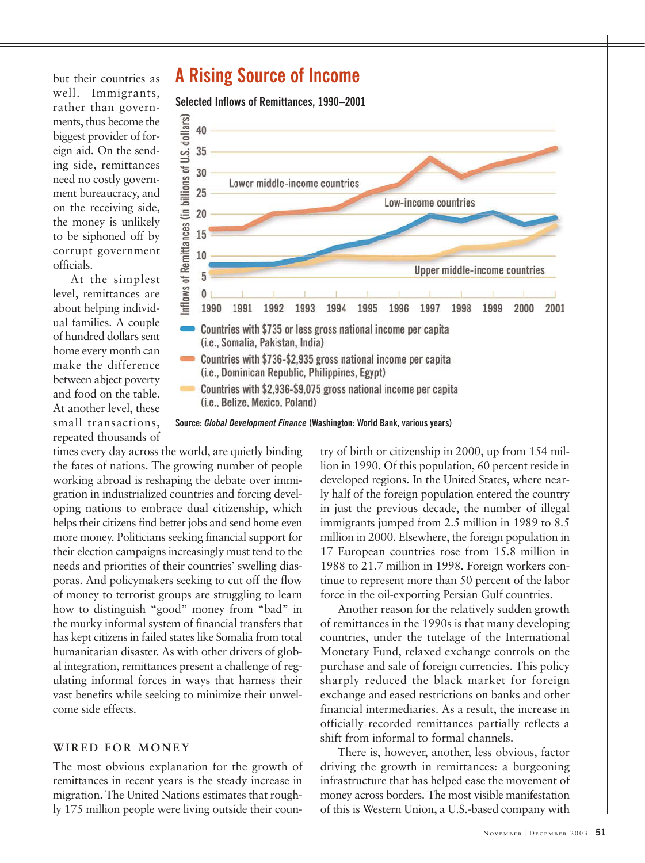but their countries as well. Immigrants, rather than governments, thus become the biggest provider of foreign aid. On the sending side, remittances need no costly government bureaucracy, and on the receiving side, the money is unlikely to be siphoned off by corrupt government officials.

At the simplest level, remittances are about helping individual families. A couple of hundred dollars sent home every month can make the difference between abject poverty and food on the table. At another level, these small transactions, repeated thousands of

### **A Rising Source of Income**

**Selected Inflows of Remittances, 1990–2001**



**Source:** *[Global Development Finance](http://www.worldbank.org/prospects/gdf2001/index.htm)* **(Washington: World Bank, various years)**

times every day across the world, are quietly binding the fates of nations. The growing number of people working abroad is reshaping the debate over immigration in industrialized countries and forcing developing nations to embrace dual citizenship, which helps their citizens find better jobs and send home even more money. Politicians seeking financial support for their election campaigns increasingly must tend to the needs and priorities of their countries' swelling diasporas. And policymakers seeking to cut off the flow of money to terrorist groups are struggling to learn how to distinguish "good" money from "bad" in the murky informal system of financial transfers that has kept citizens in failed states like Somalia from total humanitarian disaster. As with other drivers of global integration, remittances present a challenge of regulating informal forces in ways that harness their vast benefits while seeking to minimize their unwelcome side effects.

#### **WIRED FOR MONEY**

The most obvious explanation for the growth of remittances in recent years is the steady increase in migration[. The United Nations estimates that rough](http://www.un.org/News/Press/docs/2002/pop844.doc.htm)[ly 175 million people were living outside their coun-](http://www.un.org/News/Press/docs/2002/pop844.doc.htm) [try of birth or citizenship in 2000,](http://www.un.org/News/Press/docs/2002/pop844.doc.htm) up from 154 million in 1990. Of this population, 60 percent reside in developed regions. In the United States, where nearly half of the foreign population entered the country in just the previous decade, the number of illegal immigrants jumped from 2.5 million in 1989 to 8.5 million in 2000. Elsewhere, the foreign population in 17 European countries rose from 15.8 million in 1988 to 21.7 million in 1998. Foreign workers continue to represent more than 50 percent of the labor force in the oil-exporting Persian Gulf countries.

Another reason for the relatively sudden growth of remittances in the 1990s is that many developing countries, under the tutelage of the International Monetary Fund, relaxed exchange controls on the purchase and sale of foreign currencies. This policy sharply reduced the black market for foreign exchange and eased restrictions on banks and other financial intermediaries. As a result, the increase in officially recorded remittances partially reflects a shift from informal to formal channels.

There is, however, another, less obvious, factor driving the growth in remittances: a burgeoning infrastructure that has helped ease the movement of money across borders. The most visible manifestation of this is Western Union, a U.S.-based company with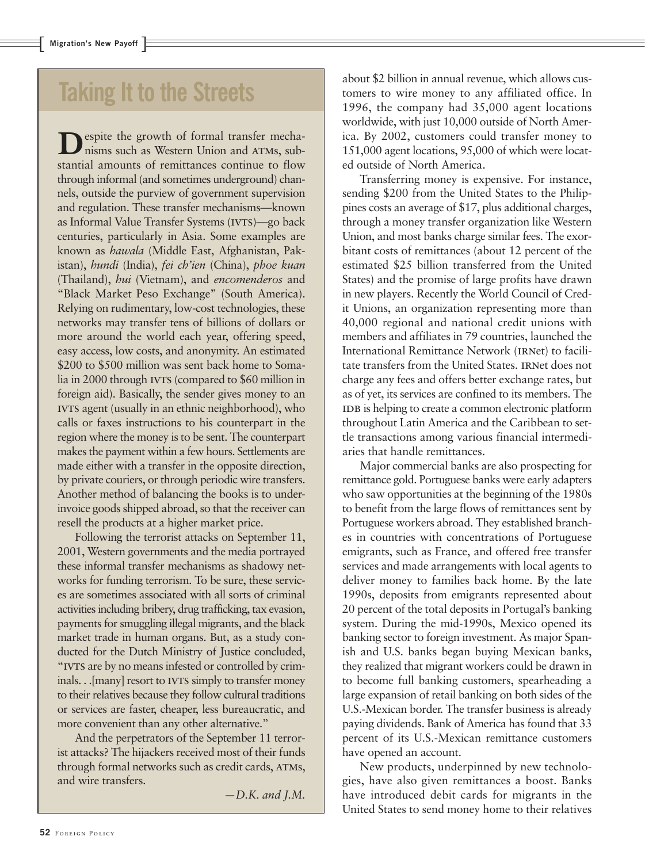**D**espite the growth of formal transfer mecha-<br>nisms such as Western Union and ATMs, sub-<br>stantial amounts of remittances continue to flow nisms such as Western Union and atms, substantial amounts of remittances continue to flow through informal (and sometimes underground) channels, outside the purview of government supervision and regulation. These transfer mechanisms—known as Informal Value Transfer Systems (ivts)—go back centuries, particularly in Asia. Some examples are known as *hawala* (Middle East, Afghanistan, Pakistan), *hundi* (India), *fei ch'ien* (China), *phoe kuan* (Thailand), *hui* (Vietnam), and *encomenderos* and "Black Market Peso Exchange" (South America). Relying on rudimentary, low-cost technologies, these networks may transfer tens of billions of dollars or more around the world each year, offering speed, easy access, low costs, and anonymity. An estimated \$200 to \$500 million was sent back home to Somalia in 2000 through IVTS (compared to \$60 million in foreign aid). Basically, the sender gives money to an IVTS agent (usually in an ethnic neighborhood), who calls or faxes instructions to his counterpart in the region where the money is to be sent. The counterpart makes the payment within a few hours. Settlements are made either with a transfer in the opposite direction, by private couriers, or through periodic wire transfers. Another method of balancing the books is to underinvoice goods shipped abroad, so that the receiver can resell the products at a higher market price.

Following the terrorist attacks on September 11, 2001, Western governments and the media portrayed these informal transfer mechanisms as shadowy networks for funding terrorism. To be sure, these services are sometimes associated with all sorts of criminal activities including bribery, drug trafficking, tax evasion, payments for smuggling illegal migrants, and the black market trade in human organs. But, as a study conducted for the Dutch Ministry of Justice concluded, "ivts are by no means infested or controlled by criminals. . .[many] resort to IVTS simply to transfer money to their relatives because they follow cultural traditions or services are faster, cheaper, less bureaucratic, and more convenient than any other alternative."

And the perpetrators of the September 11 terrorist attacks? The hijackers received most of their funds through formal networks such as credit cards, ATMs, and wire transfers.

*—D.K. and J.M.*

**Taking It to the Streets** about \$2 billion in annual revenue, which allows cus-<br>tomers to wire money to any affiliated office. In tomers to wire money to any affiliated office. In 1996, the company had 35,000 agent locations worldwide, with just 10,000 outside of North America. By 2002, customers could transfer money to 151,000 agent locations, 95,000 of which were located outside of North America.

> Transferring money is expensive. For instance, sending \$200 from the United States to the Philippines costs an average of \$17, plus additional charges, through a money transfer organization like Western Union, and most banks charge similar fees. The exorbitant costs of remittances (about 12 percent of the estimated \$25 billion transferred from the United States) and the promise of large profits have drawn in new players. Recently the World Council of Credit Unions, an organization representing more than 40,000 regional and national credit unions with members and affiliates in 79 countries, launched the [International Remittance Network](http://www.woccu.org/prod_serv/irnet/) (irnet) to facilitate transfers from the United States. IRNet does not charge any fees and offers better exchange rates, but as of yet, its services are confined to its members. The IDB is helping to create a common electronic platform throughout Latin America and the Caribbean to settle transactions among various financial intermediaries that handle remittances.

> Major commercial banks are also prospecting for remittance gold. Portuguese banks were early adapters who saw opportunities at the beginning of the 1980s to benefit from the large flows of remittances sent by Portuguese workers abroad. They established branches in countries with concentrations of Portuguese emigrants, such as France, and offered free transfer services and made arrangements with local agents to deliver money to families back home. By the late 1990s, deposits from emigrants represented about 20 percent of the total deposits in Portugal's banking system. During the mid-1990s, Mexico opened its banking sector to foreign investment. As major Spanish and U.S. banks began buying Mexican banks, they realized that migrant workers could be drawn in to become full banking customers, spearheading a large expansion of retail banking on both sides of the U.S.-Mexican border. The transfer business is already paying dividends. Bank of America has found that 33 percent of its U.S.-Mexican remittance customers have opened an account.

> New products, underpinned by new technologies, have also given remittances a boost. Banks have introduced debit cards for migrants in the United States to send money home to their relatives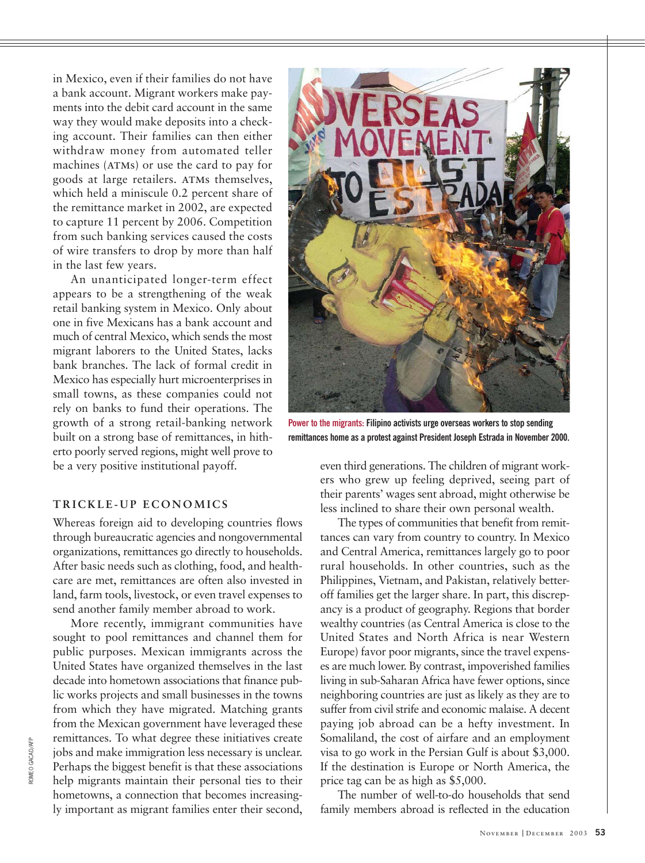in Mexico, even if their families do not have a bank account. Migrant workers make payments into the debit card account in the same way they would make deposits into a checking account. Their families can then either withdraw money from automated teller machines (ATMs) or use the card to pay for goods at large retailers. atms themselves, which held a miniscule 0.2 percent share of the remittance market in 2002, are expected to capture 11 percent by 2006. Competition from such banking services caused the costs of wire transfers to drop by more than half in the last few years.

An unanticipated longer-term effect appears to be a strengthening of the weak retail banking system in Mexico. Only about one in five Mexicans has a bank account and much of central Mexico, which sends the most migrant laborers to the United States, lacks bank branches. The lack of formal credit in Mexico has especially hurt microenterprises in small towns, as these companies could not rely on banks to fund their operations. The growth of a strong retail-banking network built on a strong base of remittances, in hitherto poorly served regions, might well prove to be a very positive institutional payoff.

#### **TRICKLE-UP ECONOMICS**

Whereas foreign aid to developing countries flows through bureaucratic agencies and nongovernmental organizations, remittances go directly to households. After basic needs such as clothing, food, and healthcare are met, remittances are often also invested in land, farm tools, livestock, or even travel expenses to send another family member abroad to work.

More recently, immigrant communities have sought to pool remittances and channel them for public purposes. Mexican immigrants across the United States have organized themselves in the last decade into hometown associations that finance public works projects and small businesses in the towns from which they have migrated. Matching grants from the Mexican government have leveraged these remittances. To what degree these initiatives create jobs and make immigration less necessary is unclear. Perhaps the biggest benefit is that these associations help migrants maintain their personal ties to their hometowns, a connection that becomes increasingly important as migrant families enter their second,



**Power to the migrants: Filipino activists urge overseas workers to stop sending remittances home as a protest against President Joseph Estrada in November 2000.**

even third generations. The children of migrant workers who grew up feeling deprived, seeing part of their parents' wages sent abroad, might otherwise be less inclined to share their own personal wealth.

The types of communities that benefit from remittances can vary from country to country. In Mexico and Central America, remittances largely go to poor rural households. In other countries, such as the Philippines, Vietnam, and Pakistan, relatively betteroff families get the larger share. In part, this discrepancy is a product of geography. Regions that border wealthy countries (as Central America is close to the United States and North Africa is near Western Europe) favor poor migrants, since the travel expenses are much lower. By contrast, impoverished families living in sub-Saharan Africa have fewer options, since neighboring countries are just as likely as they are to suffer from civil strife and economic malaise. A decent paying job abroad can be a hefty investment. In Somaliland, the cost of airfare and an employment visa to go work in the Persian Gulf is about \$3,000. If the destination is Europe or North America, the price tag can be as high as \$5,000.

The number of well-to-do households that send family members abroad is reflected in the education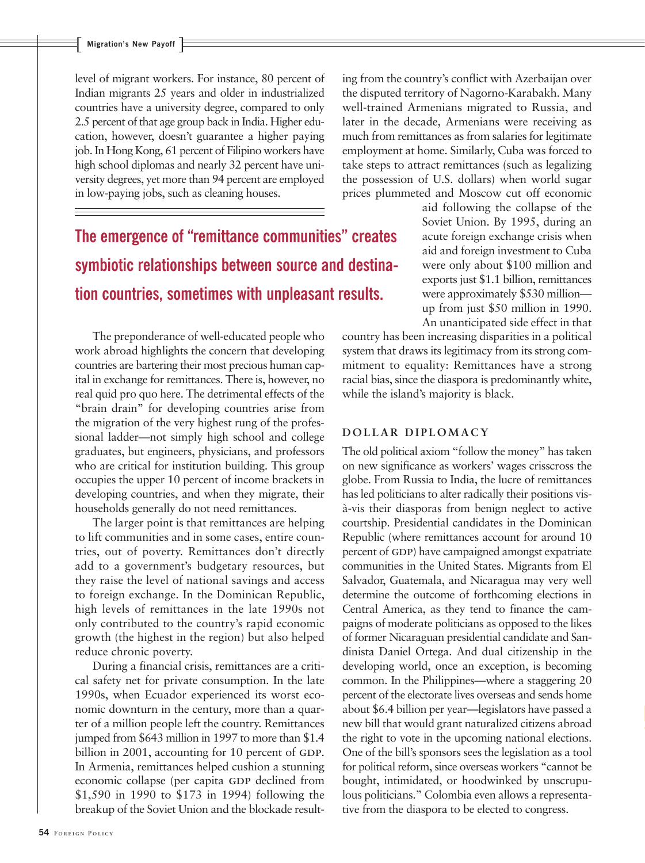level of migrant workers. For instance, 80 percent of Indian migrants 25 years and older in industrialized countries have a university degree, compared to only 2.5 percent of that age group back in India. Higher education, however, doesn't guarantee a higher paying job. In Hong Kong, 61 percent of Filipino workers have high school diplomas and nearly 32 percent have university degrees, yet more than 94 percent are employed in low-paying jobs, such as cleaning houses.

**The emergence of "remittance communities" creates symbiotic relationships between source and destination countries, sometimes with unpleasant results.**

The preponderance of well-educated people who work abroad highlights the concern that developing countries are bartering their most precious human capital in exchange for remittances. There is, however, no real quid pro quo here. The detrimental effects of the "brain drain" for developing countries arise from the migration of the very highest rung of the professional ladder—not simply high school and college graduates, but engineers, physicians, and professors who are critical for institution building. This group occupies the upper 10 percent of income brackets in developing countries, and when they migrate, their households generally do not need remittances.

The larger point is that remittances are helping to lift communities and in some cases, entire countries, out of poverty. Remittances don't directly add to a government's budgetary resources, but they raise the level of national savings and access to foreign exchange. In the Dominican Republic, high levels of remittances in the late 1990s not only contributed to the country's rapid economic growth (the highest in the region) but also helped reduce chronic poverty.

During a financial crisis, remittances are a critical safety net for private consumption. In the late 1990s, when Ecuador experienced its worst economic downturn in the century, more than a quarter of a million people left the country. Remittances jumped from \$643 million in 1997 to more than \$1.4 billion in 2001, accounting for 10 percent of GDP. In Armenia, remittances helped cushion a stunning economic collapse (per capita GDP declined from \$1,590 in 1990 to \$173 in 1994) following the breakup of the Soviet Union and the blockade resulting from the country's conflict with Azerbaijan over the disputed territory of Nagorno-Karabakh. Many well-trained Armenians migrated to Russia, and later in the decade, Armenians were receiving as much from remittances as from salaries for legitimate employment at home. Similarly, Cuba was forced to take steps to attract remittances (such as legalizing the possession of U.S. dollars) when world sugar prices plummeted and Moscow cut off economic

> aid following the collapse of the Soviet Union. By 1995, during an acute foreign exchange crisis when aid and foreign investment to Cuba were only about \$100 million and exports just \$1.1 billion, remittances were approximately \$530 million up from just \$50 million in 1990. An unanticipated side effect in that

country has been increasing disparities in a political system that draws its legitimacy from its strong commitment to equality: Remittances have a strong racial bias, since the diaspora is predominantly white, while the island's majority is black.

#### **DOLLAR DIPLOMACY**

The old political axiom "follow the money" has taken on new significance as workers' wages crisscross the globe. From Russia to India, the lucre of remittances has led politicians to alter radically their positions visà-vis their diasporas from benign neglect to active courtship. Presidential candidates in the Dominican Republic (where remittances account for around 10 percent of GDP) have campaigned amongst expatriate communities in the United States. Migrants from El Salvador, Guatemala, and Nicaragua may very well determine the outcome of forthcoming elections in Central America, as they tend to finance the campaigns of moderate politicians as opposed to the likes of former Nicaraguan presidential candidate and Sandinista Daniel Ortega. And dual citizenship in the developing world, once an exception, is becoming common. In the Philippines—where a staggering 20 percent of the electorate lives overseas and sends home about \$6.4 billion per year—legislators have passed a new bill that would grant naturalized citizens abroad the right to vote in the upcoming national elections. One of the bill's sponsors sees the legislation as a tool for political reform, since overseas workers "cannot be bought, intimidated, or hoodwinked by unscrupulous politicians." Colombia even allows a representative from the diaspora to be elected to congress.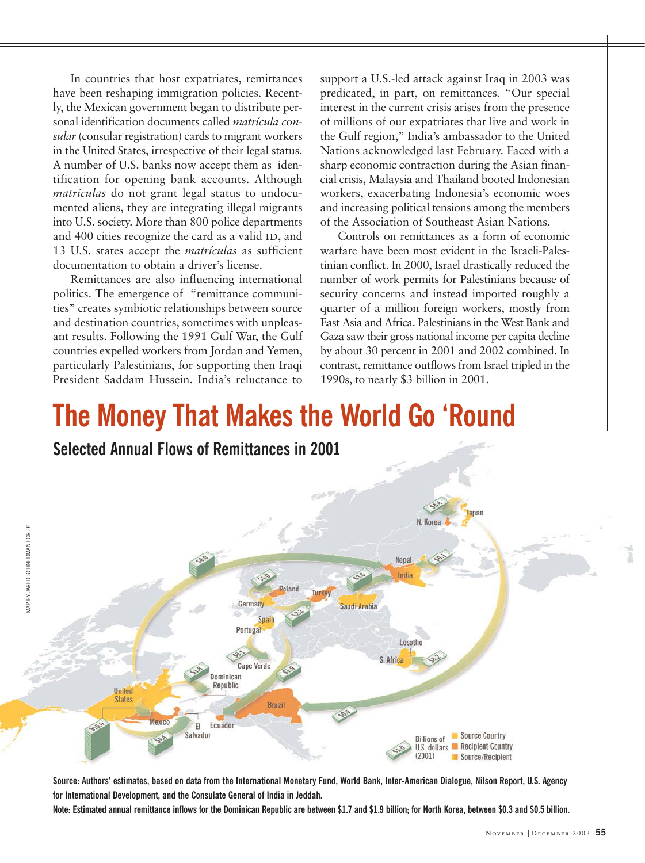In countries that host expatriates, remittances have been reshaping immigration policies. Recently, the Mexican government began to distribute personal identification documents called *[matrícula con](http://www.sre.gob.mx/phoenix/spanish/servicios/factsheet/matrifactsheet.htm)[sular](http://www.sre.gob.mx/phoenix/spanish/servicios/factsheet/matrifactsheet.htm)* (consular registration) cards to migrant workers in the United States, irrespective of their legal status. A number of U.S. banks now accept them as identification for opening bank accounts. Although *matrículas* do not grant legal status to undocumented aliens, they are integrating illegal migrants into U.S. society. More than 800 police departments and 400 cities recognize the card as a valid ID, and 13 U.S. states accept the *matrículas* as sufficient documentation to obtain a driver's license.

Remittances are also influencing international politics. The emergence of "remittance communities" creates symbiotic relationships between source and destination countries, sometimes with unpleasant results. Following the 1991 Gulf War, the Gulf countries expelled workers from Jordan and Yemen, particularly Palestinians, for supporting then Iraqi President Saddam Hussein. India's reluctance to support a U.S.-led attack against Iraq in 2003 was predicated, in part, on remittances. "Our special interest in the current crisis arises from the presence of millions of our expatriates that live and work in the Gulf region," India's ambassador to the United Nations acknowledged last February. Faced with a sharp economic contraction during the Asian financial crisis, Malaysia and Thailand booted Indonesian workers, exacerbating Indonesia's economic woes and increasing political tensions among the members of the Association of Southeast Asian Nations.

Controls on remittances as a form of economic warfare have been most evident in the Israeli-Palestinian conflict. In 2000, Israel drastically reduced the number of work permits for Palestinians because of security concerns and instead imported roughly a quarter of a million foreign workers, mostly from East Asia and Africa. Palestinians in the West Bank and Gaza saw their gross national income per capita decline by about 30 percent in 2001 and 2002 combined. In contrast, remittance outflows from Israel tripled in the 1990s, to nearly \$3 billion in 2001.

## **The Money That Makes the World Go 'Round**



**Source: Authors' estimates, based on data from the International Monetary Fund, World Bank, Inter-American Dialogue, Nilson Report, U.S. Agency for International Development, and the Consulate General of India in Jeddah.**

**Note: Estimated annual remittance inflows for the Dominican Republic are between \$1.7 and \$1.9 billion; for North Korea, between \$0.3 and \$0.5 billion.**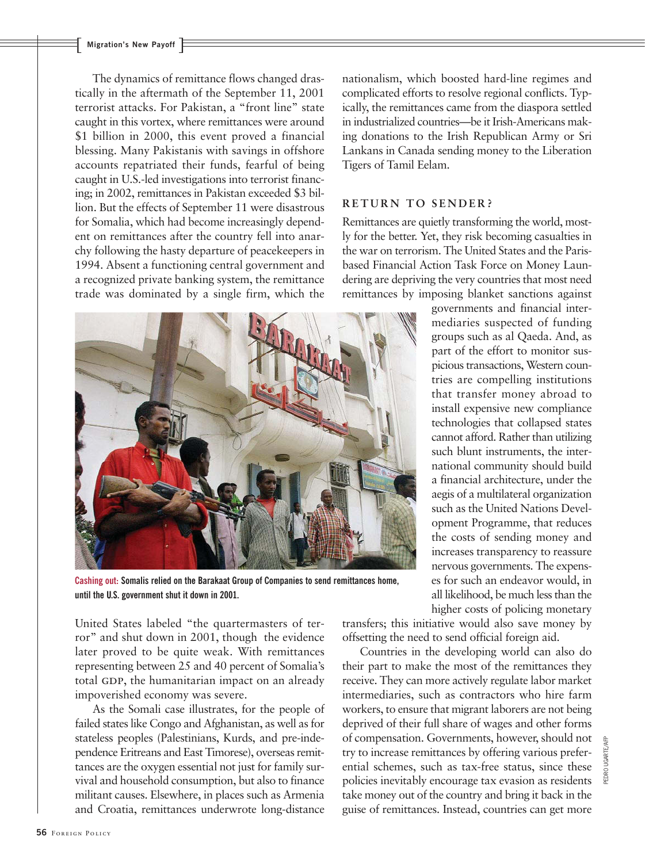The dynamics of remittance flows changed drastically in the aftermath of the September 11, 2001 terrorist attacks. For Pakistan, a "front line" state caught in this vortex, where remittances were around \$1 billion in 2000, this event proved a financial blessing. Many Pakistanis with savings in offshore accounts repatriated their funds, fearful of being caught in U.S.-led investigations into terrorist financing; in 2002, remittances in Pakistan exceeded \$3 billion. But the effects of September 11 were disastrous for Somalia, which had become increasingly dependent on remittances after the country fell into anarchy following the hasty departure of peacekeepers in 1994. Absent a functioning central government and a recognized private banking system, the remittance trade was dominated by a single firm, which the



**Cashing out: Somalis relied on the Barakaat Group of Companies to send remittances home, until the U.S. government shut it down in 2001.**

United States labeled "the quartermasters of terror" and shut down in 2001, though the evidence later proved to be quite weak. With remittances representing between 25 and 40 percent of Somalia's total GDP, the humanitarian impact on an already impoverished economy was severe.

As the Somali case illustrates, for the people of failed states like Congo and Afghanistan, as well as for stateless peoples (Palestinians, Kurds, and pre-independence Eritreans and East Timorese), overseas remittances are the oxygen essential not just for family survival and household consumption, but also to finance militant causes. Elsewhere, in places such as Armenia and Croatia, remittances underwrote long-distance

nationalism, which boosted hard-line regimes and complicated efforts to resolve regional conflicts. Typically, the remittances came from the diaspora settled in industrialized countries—be it Irish-Americans making donations to the Irish Republican Army or Sri Lankans in Canada sending money to the Liberation Tigers of Tamil Eelam.

#### **RETURN TO SENDER?**

Remittances are quietly transforming the world, mostly for the better. Yet, they risk becoming casualties in the war on terrorism. The United States and the Parisbased Financial Action Task Force on Money Laundering are depriving the very countries that most need remittances by imposing blanket sanctions against

> governments and financial intermediaries suspected of funding groups such as al Qaeda. And, as part of the effort to monitor suspicious transactions, Western countries are compelling institutions that transfer money abroad to install expensive new compliance technologies that collapsed states cannot afford. Rather than utilizing such blunt instruments, the international community should build a financial architecture, under the aegis of a multilateral organization such as the United Nations Development Programme, that reduces the costs of sending money and increases transparency to reassure nervous governments. The expenses for such an endeavor would, in all likelihood, be much less than the higher costs of policing monetary

transfers; this initiative would also save money by offsetting the need to send official foreign aid.

Countries in the developing world can also do their part to make the most of the remittances they receive. They can more actively regulate labor market intermediaries, such as contractors who hire farm workers, to ensure that migrant laborers are not being deprived of their full share of wages and other forms of compensation. Governments, however, should not try to increase remittances by offering various preferential schemes, such as tax-free status, since these policies inevitably encourage tax evasion as residents take money out of the country and bring it back in the guise of remittances. Instead, countries can get more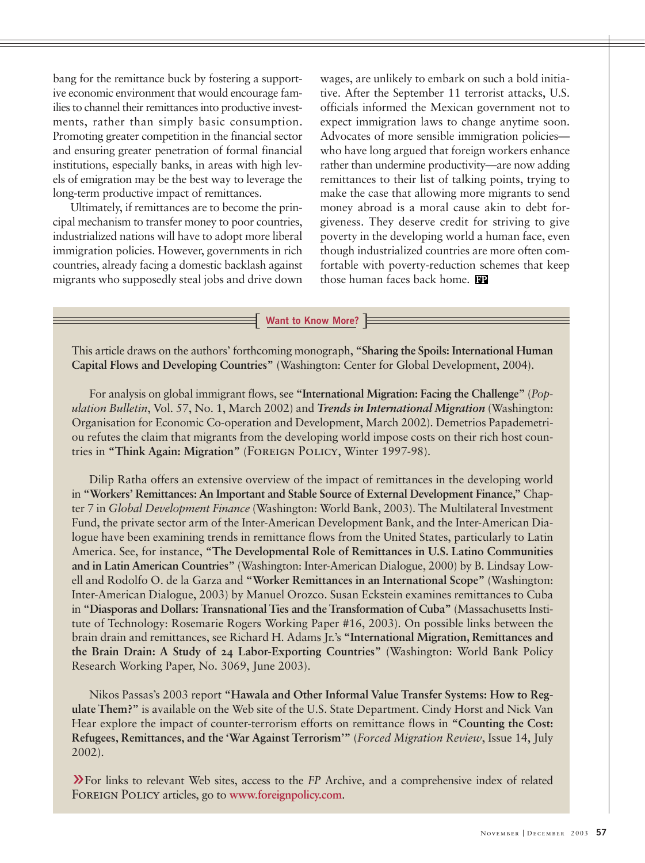bang for the remittance buck by fostering a supportive economic environment that would encourage families to channel their remittances into productive investments, rather than simply basic consumption. Promoting greater competition in the financial sector and ensuring greater penetration of formal financial institutions, especially banks, in areas with high levels of emigration may be the best way to leverage the long-term productive impact of remittances.

Ultimately, if remittances are to become the principal mechanism to transfer money to poor countries, industrialized nations will have to adopt more liberal immigration policies. However, governments in rich countries, already facing a domestic backlash against migrants who supposedly steal jobs and drive down wages, are unlikely to embark on such a bold initiative. After the September 11 terrorist attacks, U.S. officials informed the Mexican government not to expect immigration laws to change anytime soon. Advocates of more sensible immigration policies who have long argued that foreign workers enhance rather than undermine productivity—are now adding remittances to their list of talking points, trying to make the case that allowing more migrants to send money abroad is a moral cause akin to debt forgiveness. They deserve credit for striving to give poverty in the developing world a human face, even though industrialized countries are more often comfortable with poverty-reduction schemes that keep those human faces back home.

**Example 2 Want to Know More? Example 2 Want to Know More?** 

This article draws on the authors' forthcoming monograph, **"Sharing the Spoils: International Human Capital Flows and Developing Countries"** (Washington: Center for Global Development, 2004).

For analysis on global immigrant flows, see **"International Migration: Facing the Challenge"** (*Population Bulletin*, Vol. 57, No. 1, March 2002) and *Trends in International Migration* (Washington: Organisation for Economic Co-operation and Development, March 2002). Demetrios Papademetriou refutes the claim that migrants from the developing world impose costs on their rich host countries in **["Think Again: Migration"](http://fparchive.ceip.org)** (Foreign Policy, Winter 1997-98).

Dilip Ratha offers an extensive overview of the impact of remittances in the developing world in **"Workers' Remittances: An Important and Stable Source of External Development Finance,"** Chapter 7 in *Global Development Finance* (Washington: World Bank, 2003). The Multilateral Investment Fund, the private sector arm of the Inter-American Development Bank, and the Inter-American Dialogue have been examining trends in remittance flows from the United States, particularly to Latin America. See, for instance, **"The Developmental Role of Remittances in U.S. Latino Communities and in Latin American Countries"** (Washington: Inter-American Dialogue, 2000) by B. Lindsay Lowell and Rodolfo O. de la Garza and **"Worker Remittances in an International Scope"** (Washington: Inter-American Dialogue, 2003) by Manuel Orozco. Susan Eckstein examines remittances to Cuba in **"Diasporas and Dollars: Transnational Ties and the Transformation of Cuba"** (Massachusetts Institute of Technology: Rosemarie Rogers Working Paper #16, 2003). On possible links between the brain drain and remittances, see Richard H. Adams Jr.'s **"International Migration, Remittances and the Brain Drain: A Study of 24 Labor-Exporting Countries"** (Washington: World Bank Policy Research Working Paper, No. 3069, June 2003).

Nikos Passas's 2003 report **["Hawala and Other Informal Value Transfer Systems: How to](http://usinfo.state.gov/regional/ea/chinaaliens/shawala.htm) Reg[ulate Them?"](http://usinfo.state.gov/regional/ea/chinaaliens/shawala.htm)** is available on the Web site of the U.S. State Department. Cindy Horst and Nick Van Hear explore the impact of counter-terrorism efforts on remittance flows in **"Counting the Cost: Refugees, Remittances, and the 'War Against Terrorism'"** (*Forced Migration Review*, Issue 14, July 2002).

»For links to relevant Web sites, access to the *FP* [Archive,](http://fparchive.ceip.org) and a comprehensive index of related [Foreign Policy](http://www.foreignpolicy.com) articles, go to **[www.foreignpolicy.com](http://www.foreignpolicy.com)**.